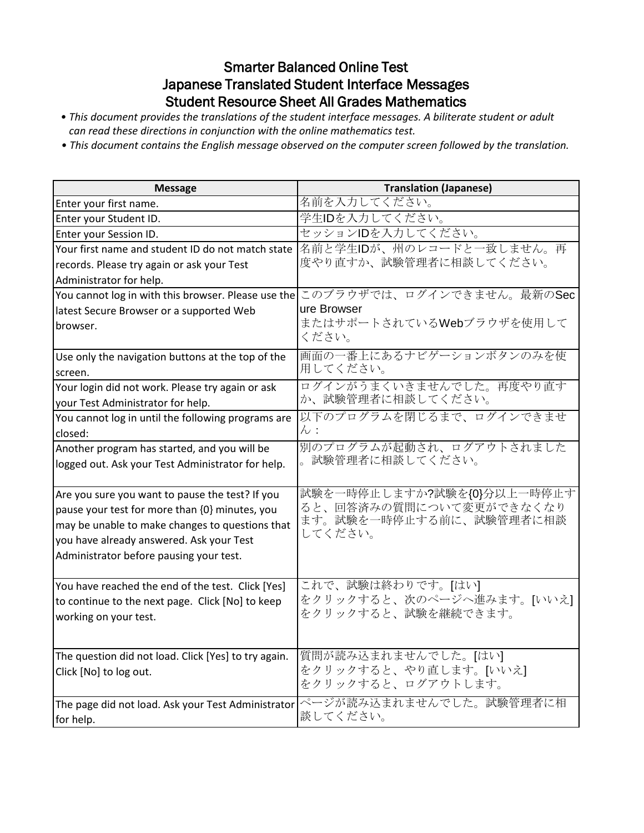## Smarter Balanced Online Test Japanese Translated Student Interface Messages Student Resource Sheet All Grades Mathematics

- *This document provides the translations of the student interface messages. A biliterate student or adult can read these directions in conjunction with the online mathematics test.*
- *This document contains the English message observed on the computer screen followed by the translation.*

| <b>Message</b>                                       | <b>Translation (Japanese)</b>                         |
|------------------------------------------------------|-------------------------------------------------------|
| Enter your first name.                               | 名前を入力してください。                                          |
| Enter your Student ID.                               | 学生IDを入力してください。                                        |
| Enter your Session ID.                               | セッションIDを入力してください。                                     |
| Your first name and student ID do not match state    | 名前と学生IDが、州のレコードと一致しません。再                              |
| records. Please try again or ask your Test           | 度やり直すか、試験管理者に相談してください。                                |
| Administrator for help.                              |                                                       |
| You cannot log in with this browser. Please use the  | このブラウザでは、ログインできません。最新のSec                             |
| latest Secure Browser or a supported Web             | ure Browser                                           |
| browser.                                             | またはサポートされているWebブラウザを使用して                              |
|                                                      | ください。                                                 |
| Use only the navigation buttons at the top of the    | 画面の一番上にあるナビゲーションボタンのみを使                               |
| screen.                                              | 用してください。                                              |
| Your login did not work. Please try again or ask     | ログインがうまくいきませんでした。再度やり直す                               |
| your Test Administrator for help.                    | か、試験管理者に相談してください。                                     |
| You cannot log in until the following programs are   | 以下のプログラムを閉じるまで、ログインできませ                               |
| closed:                                              | $\mathcal{h}:$                                        |
| Another program has started, and you will be         | 別のプログラムが起動され、ログアウトされました                               |
| logged out. Ask your Test Administrator for help.    | 試験管理者に相談してください。                                       |
|                                                      |                                                       |
| Are you sure you want to pause the test? If you      | 試験を一時停止しますか?試験を{0}分以上一時停止す<br>ると、回答済みの質問について変更ができなくなり |
| pause your test for more than {0} minutes, you       | ます。試験を一時停止する前に、試験管理者に相談                               |
| may be unable to make changes to questions that      | してください。                                               |
| you have already answered. Ask your Test             |                                                       |
| Administrator before pausing your test.              |                                                       |
| You have reached the end of the test. Click [Yes]    | これで、試験は終わりです。[はい]                                     |
| to continue to the next page. Click [No] to keep     | をクリックすると、次のページへ進みます。[いいえ]                             |
| working on your test.                                | をクリックすると、試験を継続できます。                                   |
|                                                      |                                                       |
|                                                      |                                                       |
| The question did not load. Click [Yes] to try again. | 質問が読み込まれませんでした。[はい]                                   |
| Click [No] to log out.                               | をクリックすると、やり直します。[いいえ]                                 |
|                                                      | をクリックすると、ログアウトします。                                    |
| The page did not load. Ask your Test Administrator   | ページが読み込まれませんでした。試験管理者に相                               |
| for help.                                            | 談してください。                                              |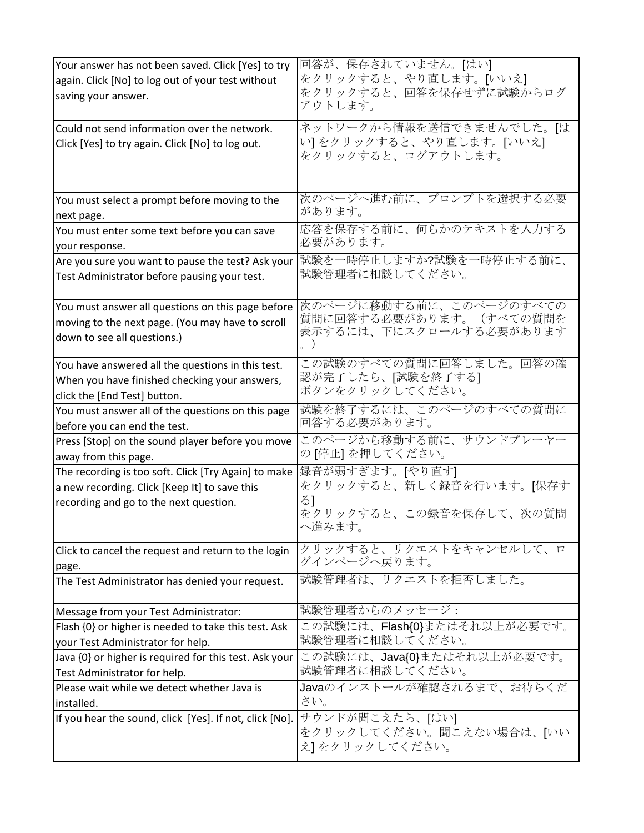| Your answer has not been saved. Click [Yes] to try<br>again. Click [No] to log out of your test without<br>saving your answer.                  | 回答が、保存されていません。 [はい]<br>をクリックすると、やり直します。[いいえ]<br>をクリックすると、回答を保存せずに試験からログ<br>アウトします。             |
|-------------------------------------------------------------------------------------------------------------------------------------------------|------------------------------------------------------------------------------------------------|
| Could not send information over the network.<br>Click [Yes] to try again. Click [No] to log out.                                                | ネットワークから情報を送信できませんでした。[は<br>い]をクリックすると、やり直します。[いいえ]<br>をクリックすると、ログアウトします。                      |
| You must select a prompt before moving to the                                                                                                   | 次のページへ進む前に、プロンプトを選択する必要                                                                        |
| next page.                                                                                                                                      | があります。                                                                                         |
| You must enter some text before you can save                                                                                                    | 応答を保存する前に、何らかのテキストを入力する                                                                        |
| your response.                                                                                                                                  | 必要があります。                                                                                       |
| Are you sure you want to pause the test? Ask your                                                                                               | 試験を一時停止しますか?試験を一時停止する前に、                                                                       |
| Test Administrator before pausing your test.                                                                                                    | 試験管理者に相談してください。                                                                                |
| You must answer all questions on this page before                                                                                               | 次のページに移動する前に、このページのすべての                                                                        |
| moving to the next page. (You may have to scroll                                                                                                | 質問に回答する必要があります。 (すべての質問を                                                                       |
| down to see all questions.)                                                                                                                     | 表示するには、下にスクロールする必要があります                                                                        |
| You have answered all the questions in this test.                                                                                               | この試験のすべての質問に回答しました。回答の確                                                                        |
| When you have finished checking your answers,                                                                                                   | 認が完了したら、[試験を終了する]                                                                              |
| click the [End Test] button.                                                                                                                    | ボタンをクリックしてください。                                                                                |
| You must answer all of the questions on this page                                                                                               | 試験を終了するには、このページのすべての質問に                                                                        |
| before you can end the test.                                                                                                                    | 回答する必要があります。                                                                                   |
| Press [Stop] on the sound player before you move                                                                                                | このページから移動する前に、サウンドプレーヤー                                                                        |
| away from this page.                                                                                                                            | の[停止]を押してください。                                                                                 |
| The recording is too soft. Click [Try Again] to make<br>a new recording. Click [Keep It] to save this<br>recording and go to the next question. | 録音が弱すぎます。[やり直す]<br>をクリックすると、新しく録音を行います。[保存す<br>$\delta$ ]<br>をクリックすると、この録音を保存して、次の質問<br>へ進みます。 |
| Click to cancel the request and return to the login                                                                                             | クリックすると、リクエストをキャンセルして、ロ                                                                        |
| page.                                                                                                                                           | グインページへ戻ります。                                                                                   |
| The Test Administrator has denied your request.                                                                                                 | 試験管理者は、リクエストを拒否しました。                                                                           |
| Message from your Test Administrator:                                                                                                           | 試験管理者からのメッセージ:                                                                                 |
| Flash {0} or higher is needed to take this test. Ask                                                                                            | この試験には、Flash{0}またはそれ以上が必要です。                                                                   |
| your Test Administrator for help.                                                                                                               | 試験管理者に相談してください。                                                                                |
| Java {0} or higher is required for this test. Ask your                                                                                          | この試験には、Java{0}またはそれ以上が必要です。                                                                    |
| Test Administrator for help.                                                                                                                    | 試験管理者に相談してください。                                                                                |
| Please wait while we detect whether Java is                                                                                                     | Javaのインストールが確認されるまで、お待ちくだ                                                                      |
| installed.                                                                                                                                      | さい。                                                                                            |
| If you hear the sound, click [Yes]. If not, click [No].                                                                                         | サウンドが聞こえたら、[はい]<br>をクリックしてください。聞こえない場合は、[いい<br>え]をクリックしてください。                                  |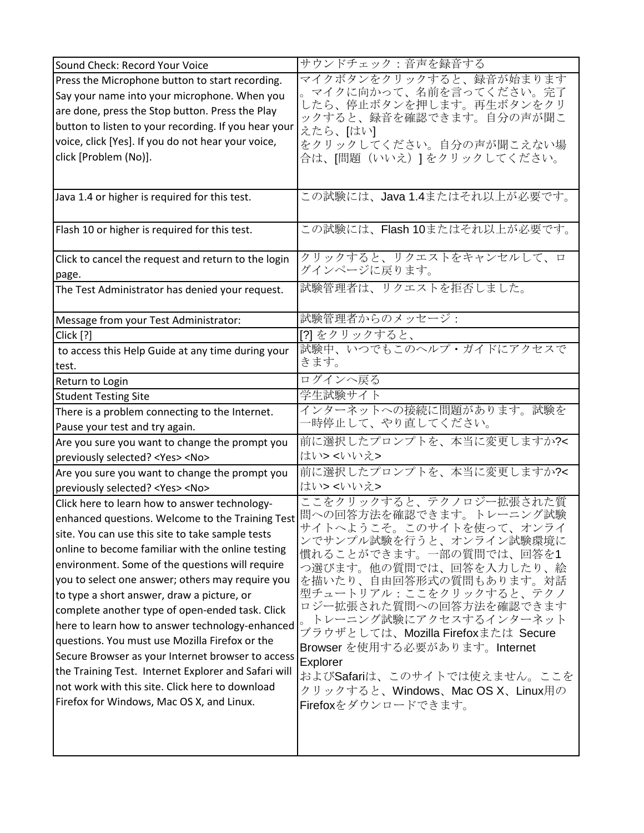| Sound Check: Record Your Voice                                                               | サウンドチェック:音声を録音する                                   |
|----------------------------------------------------------------------------------------------|----------------------------------------------------|
| Press the Microphone button to start recording.                                              | マイクボタンをクリックすると、録音が始まります                            |
| Say your name into your microphone. When you                                                 | マイクに向かって、名前を言ってください。完了                             |
| are done, press the Stop button. Press the Play                                              | したら、停止ボタンを押します。再生ボタンをクリ<br>ックすると、録音を確認できます。自分の声が聞こ |
| button to listen to your recording. If you hear your                                         | えたら、[はい]                                           |
| voice, click [Yes]. If you do not hear your voice,                                           | をクリックしてください。自分の声が聞こえない場                            |
| click [Problem (No)].                                                                        | 合は、[問題(いいえ)] をクリックしてください。                          |
|                                                                                              |                                                    |
|                                                                                              |                                                    |
| Java 1.4 or higher is required for this test.                                                | この試験には、Java 1.4またはそれ以上が必要です。                       |
|                                                                                              |                                                    |
| Flash 10 or higher is required for this test.                                                | この試験には、Flash 10またはそれ以上が必要です。                       |
|                                                                                              | クリックすると、リクエストをキャンセルして、ロ                            |
| Click to cancel the request and return to the login                                          | グインページに戻ります。                                       |
| page.                                                                                        | 試験管理者は、リクエストを拒否しました。                               |
| The Test Administrator has denied your request.                                              |                                                    |
|                                                                                              | 試験管理者からのメッセージ:                                     |
| Message from your Test Administrator:<br>Click [?]                                           | [?] をクリックすると、                                      |
|                                                                                              | 試験中、いつでもこのヘルプ・ガイドにアクセスで                            |
| to access this Help Guide at any time during your                                            | きます。                                               |
| test.                                                                                        | ログインへ戻る                                            |
| Return to Login                                                                              | 学生試験サイト                                            |
| <b>Student Testing Site</b>                                                                  | インターネットへの接続に問題があります。試験を                            |
| There is a problem connecting to the Internet.                                               | -時停止して、やり直してください。                                  |
| Pause your test and try again.                                                               | 前に選択したプロンプトを、本当に変更しますか?<                           |
| Are you sure you want to change the prompt you                                               | はい> <いいえ>                                          |
| previously selected? <yes> <no></no></yes>                                                   | 前に選択したプロンプトを、本当に変更しますか?<                           |
| Are you sure you want to change the prompt you                                               | はい> <いいえ>                                          |
| previously selected? <yes> <no><br/>Click here to learn how to answer technology-</no></yes> | ここをクリックすると、テクノロジー拡張された質                            |
|                                                                                              | 問への回答方法を確認できます。トレーニング試験                            |
| enhanced questions. Welcome to the Training Test                                             | サイトへようこそ。このサイトを使って、オンライ                            |
| site. You can use this site to take sample tests                                             | ンでサンプル試験を行うと、オンライン試験環境に                            |
| online to become familiar with the online testing                                            | 慣れることができます。一部の質問では、回答を1                            |
| environment. Some of the questions will require                                              | つ選びます。他の質問では、回答を入力したり、絵                            |
| you to select one answer; others may require you                                             | を描いたり、自由回答形式の質問もあります。対話<br>型チュートリアル:ここをクリックすると、テクノ |
| to type a short answer, draw a picture, or                                                   | ロジー拡張された質問への回答方法を確認できます                            |
| complete another type of open-ended task. Click                                              | トレーニング試験にアクセスするインターネット                             |
| here to learn how to answer technology-enhanced                                              | ブラウザとしては、Mozilla Firefoxまたは Secure                 |
| questions. You must use Mozilla Firefox or the                                               | Browser を使用する必要があります。Internet                      |
| Secure Browser as your Internet browser to access                                            | Explorer                                           |
| the Training Test. Internet Explorer and Safari will                                         | およびSafariは、このサイトでは使えません。ここを                        |
| not work with this site. Click here to download                                              | クリックすると、Windows、Mac OS X、Linux用の                   |
| Firefox for Windows, Mac OS X, and Linux.                                                    | Firefoxをダウンロードできます。                                |
|                                                                                              |                                                    |
|                                                                                              |                                                    |
|                                                                                              |                                                    |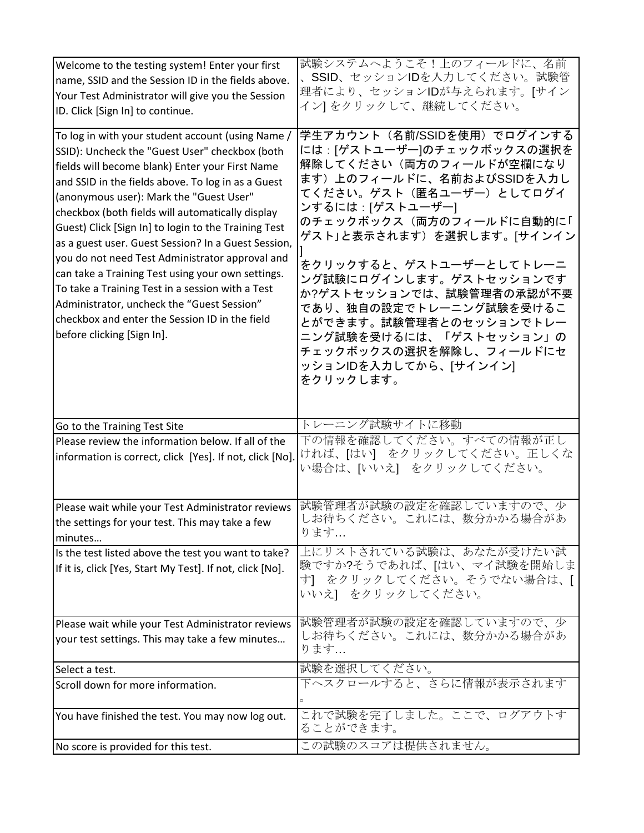| Welcome to the testing system! Enter your first<br>name, SSID and the Session ID in the fields above.<br>Your Test Administrator will give you the Session<br>ID. Click [Sign In] to continue.                                                                                                                                                                                                                                                                                                                                                                                                                                                                                                                       | 試験システムへようこそ!上のフィールドに、名前<br>SSID、セッションIDを入力してください。試験管<br>理者により、セッションIDが与えられます。[サイン<br>イン] をクリックして、継続してください。                                                                                                                                                                                                                                                                                                                                                       |
|----------------------------------------------------------------------------------------------------------------------------------------------------------------------------------------------------------------------------------------------------------------------------------------------------------------------------------------------------------------------------------------------------------------------------------------------------------------------------------------------------------------------------------------------------------------------------------------------------------------------------------------------------------------------------------------------------------------------|------------------------------------------------------------------------------------------------------------------------------------------------------------------------------------------------------------------------------------------------------------------------------------------------------------------------------------------------------------------------------------------------------------------------------------------------------------------|
| To log in with your student account (using Name /<br>SSID): Uncheck the "Guest User" checkbox (both<br>fields will become blank) Enter your First Name<br>and SSID in the fields above. To log in as a Guest<br>(anonymous user): Mark the "Guest User"<br>checkbox (both fields will automatically display<br>Guest) Click [Sign In] to login to the Training Test<br>as a guest user. Guest Session? In a Guest Session,<br>you do not need Test Administrator approval and<br>can take a Training Test using your own settings.<br>To take a Training Test in a session with a Test<br>Administrator, uncheck the "Guest Session"<br>checkbox and enter the Session ID in the field<br>before clicking [Sign In]. | 学生アカウント (名前/SSIDを使用) でログインする<br>には : [ゲストユーザー]のチェックボックスの選択を<br>解除してください(両方のフィールドが空欄になり<br>ます)上のフィールドに、名前およびSSIDを入力し<br>てください。ゲスト(匿名ユーザー)としてログイ<br>ンするには : [ゲストユーザー]<br>のチェックボックス(両方のフィールドに自動的に「<br>ゲスト」と表示されます)を選択します。[サインイン<br>をクリックすると、ゲストユーザーとしてトレーニ<br>ング試験にログインします。ゲストセッションです<br>か?ゲストセッションでは、試験管理者の承認が不要<br>であり、独自の設定でトレーニング試験を受けるこ<br>とができます。試験管理者とのセッションでトレー<br>ニング試験を受けるには、「ゲストセッション」の<br>チェックボックスの選択を解除し、フィールドにセ<br>ッションIDを入力してから、[サインイン]<br>をクリックします。 |
| Go to the Training Test Site                                                                                                                                                                                                                                                                                                                                                                                                                                                                                                                                                                                                                                                                                         | トレーニング試験サイトに移動                                                                                                                                                                                                                                                                                                                                                                                                                                                   |
| Please review the information below. If all of the<br>information is correct, click [Yes]. If not, click [No].                                                                                                                                                                                                                                                                                                                                                                                                                                                                                                                                                                                                       | 下の情報を確認してください。すべての情報が正し<br>ければ、[はい] をクリックしてください。正しくな<br>い場合は、[いいえ] をクリックしてください。                                                                                                                                                                                                                                                                                                                                                                                  |
| Please wait while your Test Administrator reviews<br>the settings for your test. This may take a few<br>minutes                                                                                                                                                                                                                                                                                                                                                                                                                                                                                                                                                                                                      | 試験管理者が試験の設定を確認していますので、少<br>しお待ちください。これには、数分かかる場合があ<br>ります                                                                                                                                                                                                                                                                                                                                                                                                        |
| Is the test listed above the test you want to take?<br>If it is, click [Yes, Start My Test]. If not, click [No].                                                                                                                                                                                                                                                                                                                                                                                                                                                                                                                                                                                                     | 上にリストされている試験は、あなたが受けたい試<br>験ですか?そうであれば、[はい、マイ試験を開始しま<br>す] をクリックしてください。そうでない場合は、[<br>いいえ】 をクリックしてください。                                                                                                                                                                                                                                                                                                                                                           |
| Please wait while your Test Administrator reviews<br>your test settings. This may take a few minutes                                                                                                                                                                                                                                                                                                                                                                                                                                                                                                                                                                                                                 | 試験管理者が試験の設定を確認していますので、少<br>しお待ちください。これには、数分かかる場合があ<br>ります                                                                                                                                                                                                                                                                                                                                                                                                        |
| Select a test.                                                                                                                                                                                                                                                                                                                                                                                                                                                                                                                                                                                                                                                                                                       | 試験を選択してください。                                                                                                                                                                                                                                                                                                                                                                                                                                                     |
| Scroll down for more information.                                                                                                                                                                                                                                                                                                                                                                                                                                                                                                                                                                                                                                                                                    | 下ヘスクロールすると、さらに情報が表示されます                                                                                                                                                                                                                                                                                                                                                                                                                                          |
| You have finished the test. You may now log out.                                                                                                                                                                                                                                                                                                                                                                                                                                                                                                                                                                                                                                                                     | これで試験を完了しました。ここで、ログアウトす<br>ることができます。                                                                                                                                                                                                                                                                                                                                                                                                                             |
|                                                                                                                                                                                                                                                                                                                                                                                                                                                                                                                                                                                                                                                                                                                      | この試験のスコアは提供されません。                                                                                                                                                                                                                                                                                                                                                                                                                                                |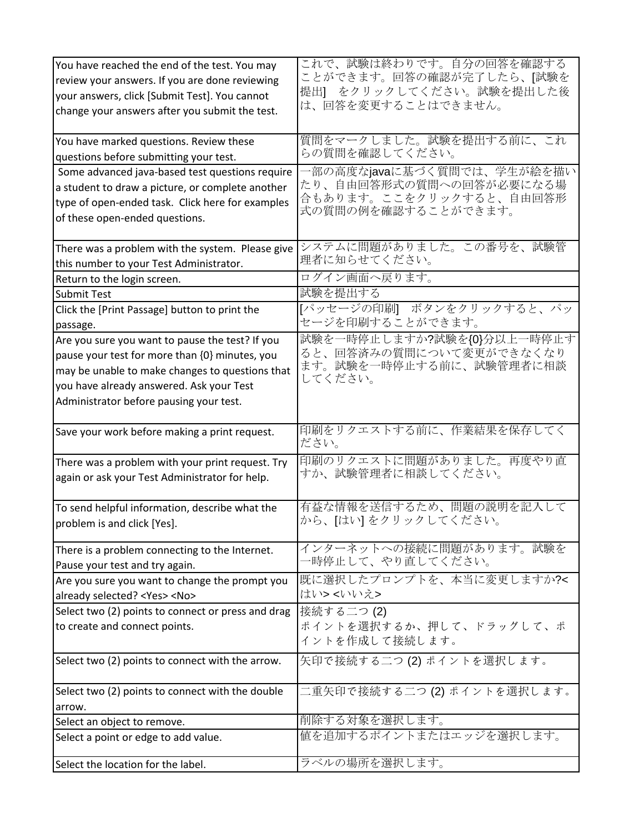| You have reached the end of the test. You may      | これで、試験は終わりです。自分の回答を確認する         |
|----------------------------------------------------|---------------------------------|
| review your answers. If you are done reviewing     | ことができます。回答の確認が完了したら、[試験を        |
| your answers, click [Submit Test]. You cannot      | 提出】 をクリックしてください。試験を提出した後        |
| change your answers after you submit the test.     | は、回答を変更することはできません。              |
|                                                    |                                 |
| You have marked questions. Review these            | 質問をマークしました。試験を提出する前に、これ         |
| questions before submitting your test.             | らの質問を確認してください。                  |
| Some advanced java-based test questions require    | ·部の高度なjavaに基づく質問では、学生が絵を描い      |
| a student to draw a picture, or complete another   | たり、自由回答形式の質問への回答が必要になる場         |
| type of open-ended task. Click here for examples   | 合もあります。ここをクリックすると、自由回答形         |
| of these open-ended questions.                     | 式の質問の例を確認することができます。             |
|                                                    |                                 |
| There was a problem with the system. Please give   | システムに問題がありました。この番号を、試験管         |
| this number to your Test Administrator.            | 理者に知らせてください。                    |
| Return to the login screen.                        | ログイン画面へ戻ります。                    |
| <b>Submit Test</b>                                 | 試験を提出する                         |
| Click the [Print Passage] button to print the      | [パッセージの印刷] ボタンをクリックすると、パッ       |
| passage.                                           | セージを印刷することができます。                |
| Are you sure you want to pause the test? If you    | 試験を一時停止しますか?試験を{0}分以上一時停止す      |
| pause your test for more than {0} minutes, you     | ると、回答済みの質問について変更ができなくなり         |
| may be unable to make changes to questions that    | ます。試験を一時停止する前に、試験管理者に相談         |
| you have already answered. Ask your Test           | してください。                         |
| Administrator before pausing your test.            |                                 |
|                                                    |                                 |
| Save your work before making a print request.      | 印刷をリクエストする前に、作業結果を保存してく<br>ださい。 |
| There was a problem with your print request. Try   | 印刷のリクエストに問題がありました。再度やり直         |
| again or ask your Test Administrator for help.     | すか、試験管理者に相談してください。              |
|                                                    |                                 |
| To send helpful information, describe what the     | 有益な情報を送信するため、問題の説明を記入して         |
| problem is and click [Yes].                        | から、[はい]をクリックしてください。             |
|                                                    |                                 |
| There is a problem connecting to the Internet.     | インターネットへの接続に問題があります。試験を         |
| Pause your test and try again.                     | 一時停止して、やり直してください。               |
| Are you sure you want to change the prompt you     | 既に選択したプロンプトを、本当に変更しますか?<        |
| already selected? <yes> <no></no></yes>            | はい> <いいえ>                       |
| Select two (2) points to connect or press and drag | 接続する二つ(2)                       |
| to create and connect points.                      | ポイントを選択するか、押して、ドラッグして、ポ         |
|                                                    | イントを作成して接続します。                  |
| Select two (2) points to connect with the arrow.   | 矢印で接続する二つ(2)ポイントを選択します。         |
|                                                    |                                 |
| Select two (2) points to connect with the double   | 二重矢印で接続する二つ (2) ポイントを選択します。     |
| arrow.                                             |                                 |
| Select an object to remove.                        | 削除する対象を選択します。                   |
| Select a point or edge to add value.               | 値を追加するポイントまたはエッジを選択します。         |
| Select the location for the label.                 | ラベルの場所を選択します。                   |
|                                                    |                                 |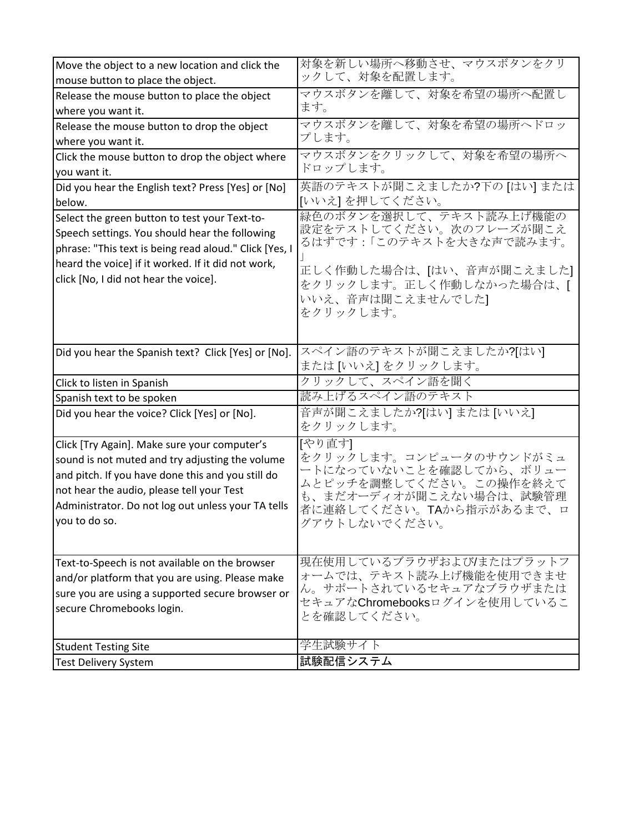| Move the object to a new location and click the        | 対象を新しい場所へ移動させ、マウスボタンをクリ                             |
|--------------------------------------------------------|-----------------------------------------------------|
| mouse button to place the object.                      | ックして、対象を配置します。                                      |
| Release the mouse button to place the object           | マウスボタンを離して、対象を希望の場所へ配置し                             |
| where you want it.                                     | ます。                                                 |
| Release the mouse button to drop the object            | マウスボタンを離して、対象を希望の場所へドロッ                             |
| where you want it.                                     | プします。                                               |
| Click the mouse button to drop the object where        | マウスボタンをクリックして、対象を希望の場所へ                             |
| you want it.                                           | ドロップします。                                            |
| Did you hear the English text? Press [Yes] or [No]     | 英語のテキストが聞こえましたか?下の [はい] または                         |
| below.                                                 | [いいえ] を押してください。                                     |
| Select the green button to test your Text-to-          | 緑色のボタンを選択して、テキスト読み上げ機能の                             |
| Speech settings. You should hear the following         | 設定をテストしてください。次のフレーズが聞こえ<br>るはずです:「このテキストを大きな声で読みます。 |
| phrase: "This text is being read aloud." Click [Yes, I |                                                     |
| heard the voice] if it worked. If it did not work,     | 正しく作動した場合は、[はい、音声が聞こえました]                           |
| click [No, I did not hear the voice].                  | をクリックします。正しく作動しなかった場合は、[                            |
|                                                        | いいえ、音声は聞こえませんでした]                                   |
|                                                        | をクリックします。                                           |
|                                                        |                                                     |
|                                                        |                                                     |
| Did you hear the Spanish text? Click [Yes] or [No].    | スペイン語のテキストが聞こえましたか?[はい]                             |
|                                                        | または[いいえ]をクリックします。                                   |
| Click to listen in Spanish                             | クリックして、スペイン語を聞く                                     |
| Spanish text to be spoken                              | 読み上げるスペイン語のテキスト                                     |
| Did you hear the voice? Click [Yes] or [No].           | 音声が聞こえましたか?[はい]または[いいえ]<br>をクリックします。                |
|                                                        |                                                     |
| Click [Try Again]. Make sure your computer's           | [やり直す]<br>をクリックします。コンピュータのサウンドがミュ                   |
| sound is not muted and try adjusting the volume        | ートになっていないことを確認してから、ボリュー                             |
| and pitch. If you have done this and you still do      | ムとピッチを調整してください。この操作を終えて                             |
| not hear the audio, please tell your Test              | も、まだオーディオが聞こえない場合は、試験管理                             |
| Administrator. Do not log out unless your TA tells     | 者に連絡してください。TAから指示があるまで、ロ                            |
| you to do so.                                          | グアウトしないでください。                                       |
|                                                        |                                                     |
| Text-to-Speech is not available on the browser         | 現在使用しているブラウザおよび/またはプラットフ                            |
| and/or platform that you are using. Please make        | オームでは、テキスト読み上げ機能を使用できませ                             |
| sure you are using a supported secure browser or       | ん。サポートされているセキュアなブラウザまたは                             |
| secure Chromebooks login.                              | セキュアなChromebooksログインを使用しているこ                        |
|                                                        | とを確認してください。                                         |
|                                                        |                                                     |
| <b>Student Testing Site</b>                            | 学生試験サイト                                             |
| <b>Test Delivery System</b>                            | 試験配信システム                                            |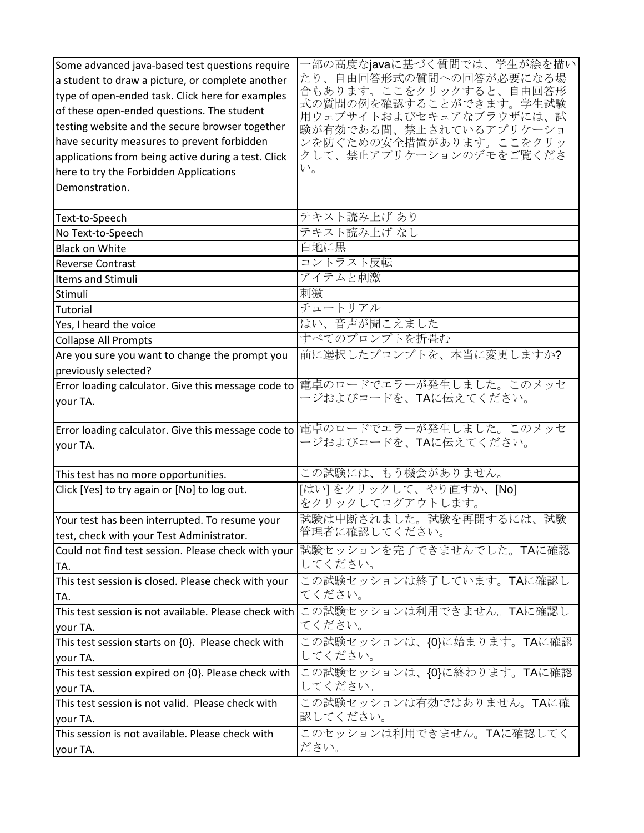| Some advanced java-based test questions require       | ·部の高度なjavaに基づく質問では、学生が絵を描い                         |
|-------------------------------------------------------|----------------------------------------------------|
| a student to draw a picture, or complete another      | たり、自由回答形式の質問への回答が必要になる場                            |
| type of open-ended task. Click here for examples      | 合もあります。ここをクリックすると、自由回答形                            |
| of these open-ended questions. The student            | 式の質問の例を確認することができます。学生試験<br>用ウェブサイトおよびセキュアなブラウザには、試 |
| testing website and the secure browser together       | 験が有効である間、禁止されているアプリケーショ                            |
| have security measures to prevent forbidden           | ンを防ぐための安全措置があります。ここをクリッ                            |
| applications from being active during a test. Click   | クして、禁止アプリケーションのデモをご覧くださ                            |
| here to try the Forbidden Applications                | $V_{o}$                                            |
| Demonstration.                                        |                                                    |
|                                                       |                                                    |
| Text-to-Speech                                        | テキスト読み上げ あり                                        |
| No Text-to-Speech                                     | テキスト読み上げ なし                                        |
| <b>Black on White</b>                                 | 白地に黒                                               |
| <b>Reverse Contrast</b>                               | コントラスト反転                                           |
| Items and Stimuli                                     | アイテムと刺激                                            |
| Stimuli                                               | 刺激                                                 |
| Tutorial                                              | チュートリアル                                            |
| Yes, I heard the voice                                | はい、音声が聞こえました                                       |
| <b>Collapse All Prompts</b>                           | すべてのプロンプトを折畳む                                      |
| Are you sure you want to change the prompt you        | 前に選択したプロンプトを、本当に変更しますか?                            |
| previously selected?                                  |                                                    |
| Error loading calculator. Give this message code to   | 電卓のロードでエラーが発生しました。このメッセ                            |
| your TA.                                              | ージおよびコードを、TAに伝えてください。                              |
|                                                       |                                                    |
| Error loading calculator. Give this message code to   | 電卓のロードでエラーが発生しました。このメッセ                            |
| your TA.                                              | ージおよびコードを、TAに伝えてください。                              |
|                                                       |                                                    |
| This test has no more opportunities.                  | この試験には、もう機会がありません。                                 |
| Click [Yes] to try again or [No] to log out.          | 「はい]をクリックして、やり直すか、[No]<br>をクリックしてログアウトします。         |
| Your test has been interrupted. To resume your        | 試験は中断されました。試験を再開するには、試験                            |
| test, check with your Test Administrator.             | 管理者に確認してください。                                      |
| Could not find test session. Please check with your   | 試験セッションを完了できませんでした。TAに確認                           |
| TA.                                                   | してください。                                            |
| This test session is closed. Please check with your   | この試験セッションは終了しています。TAに確認し                           |
| TA.                                                   | てください。                                             |
| This test session is not available. Please check with | この試験セッションは利用できません。TAに確認し                           |
| your TA.                                              | てください。                                             |
| This test session starts on {0}. Please check with    | この試験セッションは、{0}に始まります。TAに確認                         |
| your TA.                                              | してください。                                            |
| This test session expired on {0}. Please check with   | この試験セッションは、{0}に終わります。TAに確認                         |
| your TA.                                              | してください。                                            |
| This test session is not valid. Please check with     | この試験セッションは有効ではありません。TAに確                           |
| your TA.                                              | 認してください。                                           |
| This session is not available. Please check with      | このセッションは利用できません。TAに確認してく                           |
|                                                       | ださい。                                               |